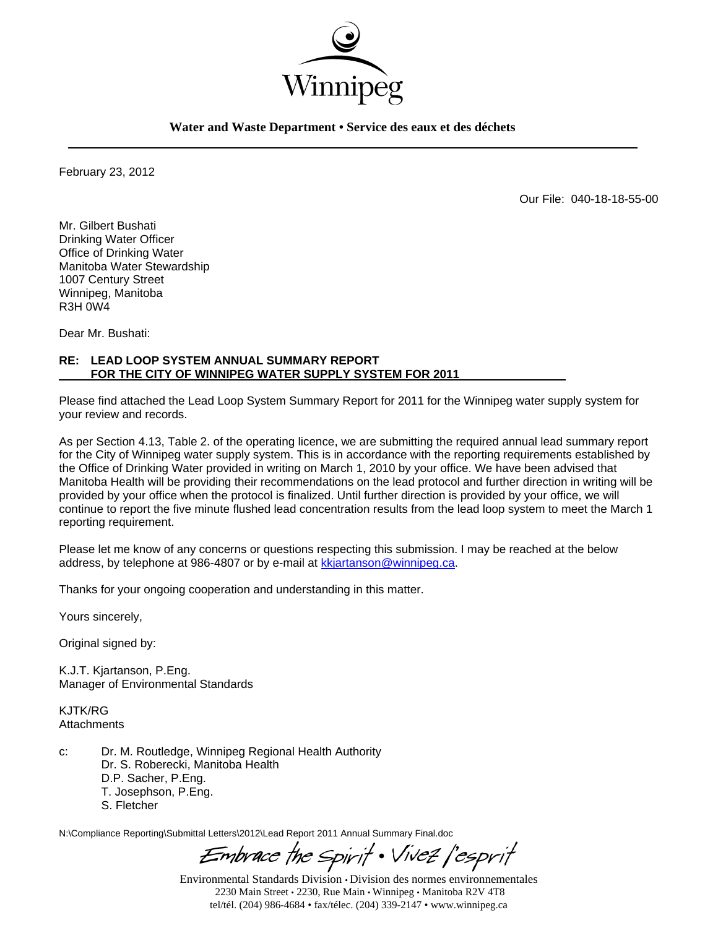

**Water and Waste Department • Service des eaux et des déchets** 

February 23, 2012

Our File: 040-18-18-55-00

Mr. Gilbert Bushati Drinking Water Officer Office of Drinking Water Manitoba Water Stewardship 1007 Century Street Winnipeg, Manitoba R3H 0W4

Dear Mr. Bushati:

## **RE: LEAD LOOP SYSTEM ANNUAL SUMMARY REPORT FOR THE CITY OF WINNIPEG WATER SUPPLY SYSTEM FOR 2011**

Please find attached the Lead Loop System Summary Report for 2011 for the Winnipeg water supply system for your review and records.

As per Section 4.13, Table 2. of the operating licence, we are submitting the required annual lead summary report for the City of Winnipeg water supply system. This is in accordance with the reporting requirements established by the Office of Drinking Water provided in writing on March 1, 2010 by your office. We have been advised that Manitoba Health will be providing their recommendations on the lead protocol and further direction in writing will be provided by your office when the protocol is finalized. Until further direction is provided by your office, we will continue to report the five minute flushed lead concentration results from the lead loop system to meet the March 1 reporting requirement.

Please let me know of any concerns or questions respecting this submission. I may be reached at the below address, by telephone at 986-4807 or by e-mail at kkjartanson@winnipeg.ca.

Thanks for your ongoing cooperation and understanding in this matter.

Yours sincerely,

Original signed by:

K.J.T. Kjartanson, P.Eng. Manager of Environmental Standards

KJTK/RG **Attachments** 

c: Dr. M. Routledge, Winnipeg Regional Health Authority Dr. S. Roberecki, Manitoba Health D.P. Sacher, P.Eng. T. Josephson, P.Eng. S. Fletcher

N:\Compliance Reporting\Submittal Letters\2012\Lead Report 2011 Annual Summary Final.doc

Embrace the Spirit . Vivez |'esprit

Environmental Standards Division • Division des normes environnementales 2230 Main Street • 2230, Rue Main • Winnipeg • Manitoba R2V 4T8 tel/tél. (204) 986-4684 • fax/télec. (204) 339-2147 • www.winnipeg.ca